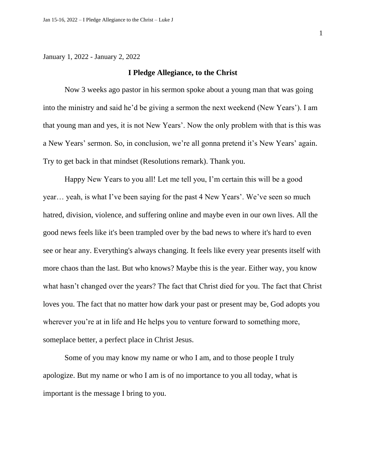January 1, 2022 - January 2, 2022

## **I Pledge Allegiance, to the Christ**

Now 3 weeks ago pastor in his sermon spoke about a young man that was going into the ministry and said he'd be giving a sermon the next weekend (New Years'). I am that young man and yes, it is not New Years'. Now the only problem with that is this was a New Years' sermon. So, in conclusion, we're all gonna pretend it's New Years' again. Try to get back in that mindset (Resolutions remark). Thank you.

Happy New Years to you all! Let me tell you, I'm certain this will be a good year… yeah, is what I've been saying for the past 4 New Years'. We've seen so much hatred, division, violence, and suffering online and maybe even in our own lives. All the good news feels like it's been trampled over by the bad news to where it's hard to even see or hear any. Everything's always changing. It feels like every year presents itself with more chaos than the last. But who knows? Maybe this is the year. Either way, you know what hasn't changed over the years? The fact that Christ died for you. The fact that Christ loves you. The fact that no matter how dark your past or present may be, God adopts you wherever you're at in life and He helps you to venture forward to something more, someplace better, a perfect place in Christ Jesus.

Some of you may know my name or who I am, and to those people I truly apologize. But my name or who I am is of no importance to you all today, what is important is the message I bring to you.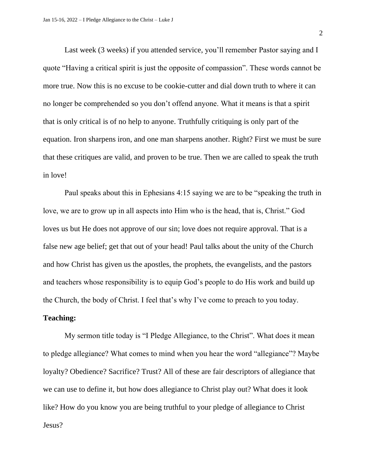Last week (3 weeks) if you attended service, you'll remember Pastor saying and I quote "Having a critical spirit is just the opposite of compassion". These words cannot be more true. Now this is no excuse to be cookie-cutter and dial down truth to where it can no longer be comprehended so you don't offend anyone. What it means is that a spirit that is only critical is of no help to anyone. Truthfully critiquing is only part of the equation. Iron sharpens iron, and one man sharpens another. Right? First we must be sure that these critiques are valid, and proven to be true. Then we are called to speak the truth in love!

Paul speaks about this in Ephesians 4:15 saying we are to be "speaking the truth in love, we are to grow up in all aspects into Him who is the head, that is, Christ." God loves us but He does not approve of our sin; love does not require approval. That is a false new age belief; get that out of your head! Paul talks about the unity of the Church and how Christ has given us the apostles, the prophets, the evangelists, and the pastors and teachers whose responsibility is to equip God's people to do His work and build up the Church, the body of Christ. I feel that's why I've come to preach to you today.

## **Teaching:**

My sermon title today is "I Pledge Allegiance, to the Christ". What does it mean to pledge allegiance? What comes to mind when you hear the word "allegiance"? Maybe loyalty? Obedience? Sacrifice? Trust? All of these are fair descriptors of allegiance that we can use to define it, but how does allegiance to Christ play out? What does it look like? How do you know you are being truthful to your pledge of allegiance to Christ Jesus?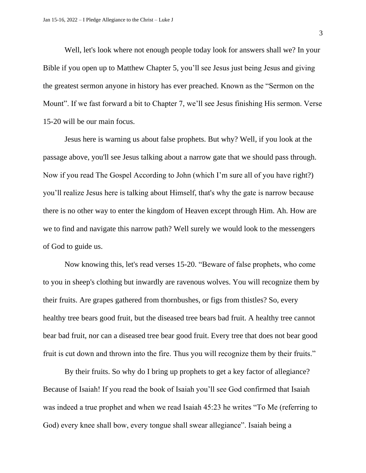Well, let's look where not enough people today look for answers shall we? In your Bible if you open up to Matthew Chapter 5, you'll see Jesus just being Jesus and giving the greatest sermon anyone in history has ever preached. Known as the "Sermon on the Mount". If we fast forward a bit to Chapter 7, we'll see Jesus finishing His sermon. Verse 15-20 will be our main focus.

Jesus here is warning us about false prophets. But why? Well, if you look at the passage above, you'll see Jesus talking about a narrow gate that we should pass through. Now if you read The Gospel According to John (which I'm sure all of you have right?) you'll realize Jesus here is talking about Himself, that's why the gate is narrow because there is no other way to enter the kingdom of Heaven except through Him. Ah. How are we to find and navigate this narrow path? Well surely we would look to the messengers of God to guide us.

Now knowing this, let's read verses 15-20. "Beware of false prophets, who come to you in sheep's clothing but inwardly are ravenous wolves. You will recognize them by their fruits. Are grapes gathered from thornbushes, or figs from thistles? So, every healthy tree bears good fruit, but the diseased tree bears bad fruit. A healthy tree cannot bear bad fruit, nor can a diseased tree bear good fruit. Every tree that does not bear good fruit is cut down and thrown into the fire. Thus you will recognize them by their fruits."

By their fruits. So why do I bring up prophets to get a key factor of allegiance? Because of Isaiah! If you read the book of Isaiah you'll see God confirmed that Isaiah was indeed a true prophet and when we read Isaiah 45:23 he writes "To Me (referring to God) every knee shall bow, every tongue shall swear allegiance". Isaiah being a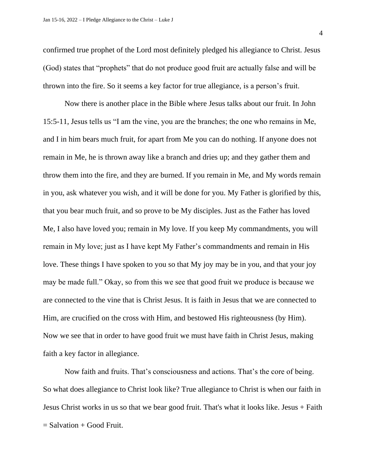confirmed true prophet of the Lord most definitely pledged his allegiance to Christ. Jesus (God) states that "prophets" that do not produce good fruit are actually false and will be thrown into the fire. So it seems a key factor for true allegiance, is a person's fruit.

Now there is another place in the Bible where Jesus talks about our fruit. In John 15:5-11, Jesus tells us "I am the vine, you are the branches; the one who remains in Me, and I in him bears much fruit, for apart from Me you can do nothing. If anyone does not remain in Me, he is thrown away like a branch and dries up; and they gather them and throw them into the fire, and they are burned. If you remain in Me, and My words remain in you, ask whatever you wish, and it will be done for you. My Father is glorified by this, that you bear much fruit, and so prove to be My disciples. Just as the Father has loved Me, I also have loved you; remain in My love. If you keep My commandments, you will remain in My love; just as I have kept My Father's commandments and remain in His love. These things I have spoken to you so that My joy may be in you, and that your joy may be made full." Okay, so from this we see that good fruit we produce is because we are connected to the vine that is Christ Jesus. It is faith in Jesus that we are connected to Him, are crucified on the cross with Him, and bestowed His righteousness (by Him). Now we see that in order to have good fruit we must have faith in Christ Jesus, making faith a key factor in allegiance.

Now faith and fruits. That's consciousness and actions. That's the core of being. So what does allegiance to Christ look like? True allegiance to Christ is when our faith in Jesus Christ works in us so that we bear good fruit. That's what it looks like. Jesus + Faith  $=$  Salvation  $+$  Good Fruit.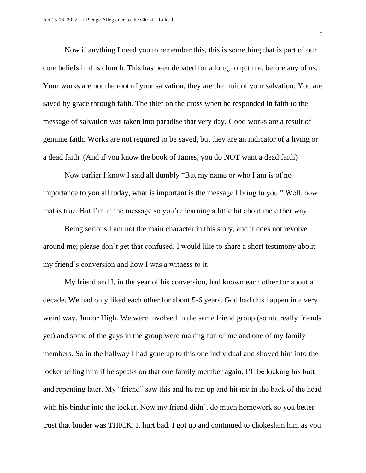Now if anything I need you to remember this, this is something that is part of our core beliefs in this church. This has been debated for a long, long time, before any of us. Your works are not the root of your salvation, they are the fruit of your salvation. You are saved by grace through faith. The thief on the cross when he responded in faith to the message of salvation was taken into paradise that very day. Good works are a result of genuine faith. Works are not required to be saved, but they are an indicator of a living or a dead faith. (And if you know the book of James, you do NOT want a dead faith)

Now earlier I know I said all dumbly "But my name or who I am is of no importance to you all today, what is important is the message I bring to you." Well, now that is true. But I'm in the message so you're learning a little bit about me either way.

Being serious I am not the main character in this story, and it does not revolve around me; please don't get that confused. I would like to share a short testimony about my friend's conversion and how I was a witness to it.

My friend and I, in the year of his conversion, had known each other for about a decade. We had only liked each other for about 5-6 years. God had this happen in a very weird way. Junior High. We were involved in the same friend group (so not really friends yet) and some of the guys in the group were making fun of me and one of my family members. So in the hallway I had gone up to this one individual and shoved him into the locker telling him if he speaks on that one family member again, I'll be kicking his butt and repenting later. My "friend" saw this and he ran up and hit me in the back of the head with his binder into the locker. Now my friend didn't do much homework so you better trust that binder was THICK. It hurt bad. I got up and continued to chokeslam him as you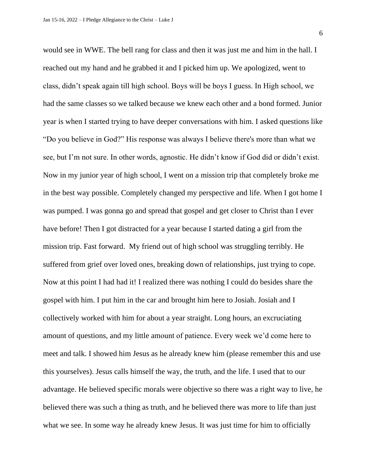6

would see in WWE. The bell rang for class and then it was just me and him in the hall. I reached out my hand and he grabbed it and I picked him up. We apologized, went to class, didn't speak again till high school. Boys will be boys I guess. In High school, we had the same classes so we talked because we knew each other and a bond formed. Junior year is when I started trying to have deeper conversations with him. I asked questions like "Do you believe in God?" His response was always I believe there's more than what we see, but I'm not sure. In other words, agnostic. He didn't know if God did or didn't exist. Now in my junior year of high school, I went on a mission trip that completely broke me in the best way possible. Completely changed my perspective and life. When I got home I was pumped. I was gonna go and spread that gospel and get closer to Christ than I ever have before! Then I got distracted for a year because I started dating a girl from the mission trip. Fast forward. My friend out of high school was struggling terribly. He suffered from grief over loved ones, breaking down of relationships, just trying to cope. Now at this point I had had it! I realized there was nothing I could do besides share the gospel with him. I put him in the car and brought him here to Josiah. Josiah and I collectively worked with him for about a year straight. Long hours, an excruciating amount of questions, and my little amount of patience. Every week we'd come here to meet and talk. I showed him Jesus as he already knew him (please remember this and use this yourselves). Jesus calls himself the way, the truth, and the life. I used that to our advantage. He believed specific morals were objective so there was a right way to live, he believed there was such a thing as truth, and he believed there was more to life than just what we see. In some way he already knew Jesus. It was just time for him to officially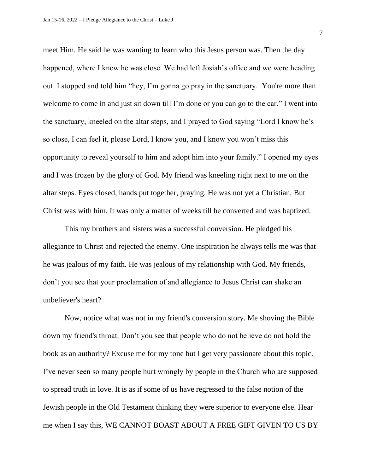meet Him. He said he was wanting to learn who this Jesus person was. Then the day happened, where I knew he was close. We had left Josiah's office and we were heading out. I stopped and told him "hey, I'm gonna go pray in the sanctuary. You're more than welcome to come in and just sit down till I'm done or you can go to the car." I went into the sanctuary, kneeled on the altar steps, and I prayed to God saying "Lord I know he's so close, I can feel it, please Lord, I know you, and I know you won't miss this opportunity to reveal yourself to him and adopt him into your family." I opened my eyes and I was frozen by the glory of God. My friend was kneeling right next to me on the altar steps. Eyes closed, hands put together, praying. He was not yet a Christian. But Christ was with him. It was only a matter of weeks till he converted and was baptized.

This my brothers and sisters was a successful conversion. He pledged his allegiance to Christ and rejected the enemy. One inspiration he always tells me was that he was jealous of my faith. He was jealous of my relationship with God. My friends, don't you see that your proclamation of and allegiance to Jesus Christ can shake an unbeliever's heart?

Now, notice what was not in my friend's conversion story. Me shoving the Bible down my friend's throat. Don't you see that people who do not believe do not hold the book as an authority? Excuse me for my tone but I get very passionate about this topic. I've never seen so many people hurt wrongly by people in the Church who are supposed to spread truth in love. It is as if some of us have regressed to the false notion of the Jewish people in the Old Testament thinking they were superior to everyone else. Hear me when I say this, WE CANNOT BOAST ABOUT A FREE GIFT GIVEN TO US BY

7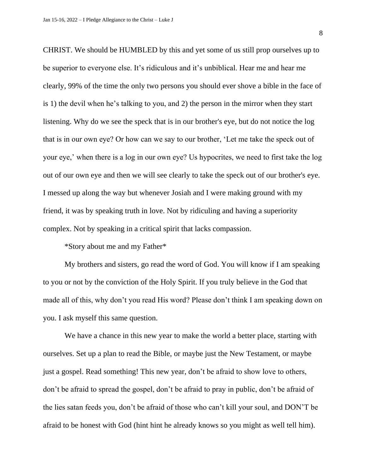CHRIST. We should be HUMBLED by this and yet some of us still prop ourselves up to be superior to everyone else. It's ridiculous and it's unbiblical. Hear me and hear me clearly, 99% of the time the only two persons you should ever shove a bible in the face of is 1) the devil when he's talking to you, and 2) the person in the mirror when they start listening. Why do we see the speck that is in our brother's eye, but do not notice the log that is in our own eye? Or how can we say to our brother, 'Let me take the speck out of your eye,' when there is a log in our own eye? Us hypocrites, we need to first take the log out of our own eye and then we will see clearly to take the speck out of our brother's eye. I messed up along the way but whenever Josiah and I were making ground with my friend, it was by speaking truth in love. Not by ridiculing and having a superiority complex. Not by speaking in a critical spirit that lacks compassion.

\*Story about me and my Father\*

My brothers and sisters, go read the word of God. You will know if I am speaking to you or not by the conviction of the Holy Spirit. If you truly believe in the God that made all of this, why don't you read His word? Please don't think I am speaking down on you. I ask myself this same question.

We have a chance in this new year to make the world a better place, starting with ourselves. Set up a plan to read the Bible, or maybe just the New Testament, or maybe just a gospel. Read something! This new year, don't be afraid to show love to others, don't be afraid to spread the gospel, don't be afraid to pray in public, don't be afraid of the lies satan feeds you, don't be afraid of those who can't kill your soul, and DON'T be afraid to be honest with God (hint hint he already knows so you might as well tell him).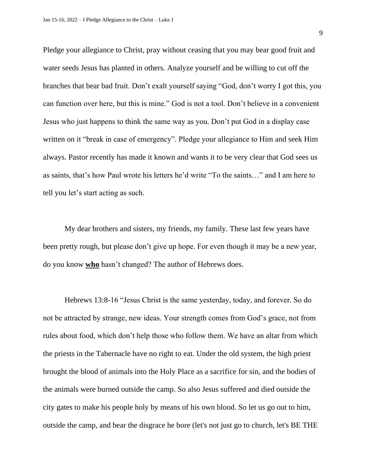Pledge your allegiance to Christ, pray without ceasing that you may bear good fruit and water seeds Jesus has planted in others. Analyze yourself and be willing to cut off the branches that bear bad fruit. Don't exalt yourself saying "God, don't worry I got this, you can function over here, but this is mine." God is not a tool. Don't believe in a convenient Jesus who just happens to think the same way as you. Don't put God in a display case written on it "break in case of emergency". Pledge your allegiance to Him and seek Him always. Pastor recently has made it known and wants it to be very clear that God sees us as saints, that's how Paul wrote his letters he'd write "To the saints…" and I am here to tell you let's start acting as such.

My dear brothers and sisters, my friends, my family. These last few years have been pretty rough, but please don't give up hope. For even though it may be a new year, do you know **who** hasn't changed? The author of Hebrews does.

Hebrews 13:8-16 "Jesus Christ is the same yesterday, today, and forever. So do not be attracted by strange, new ideas. Your strength comes from God's grace, not from rules about food, which don't help those who follow them. We have an altar from which the priests in the Tabernacle have no right to eat. Under the old system, the high priest brought the blood of animals into the Holy Place as a sacrifice for sin, and the bodies of the animals were burned outside the camp. So also Jesus suffered and died outside the city gates to make his people holy by means of his own blood. So let us go out to him, outside the camp, and bear the disgrace he bore (let's not just go to church, let's BE THE